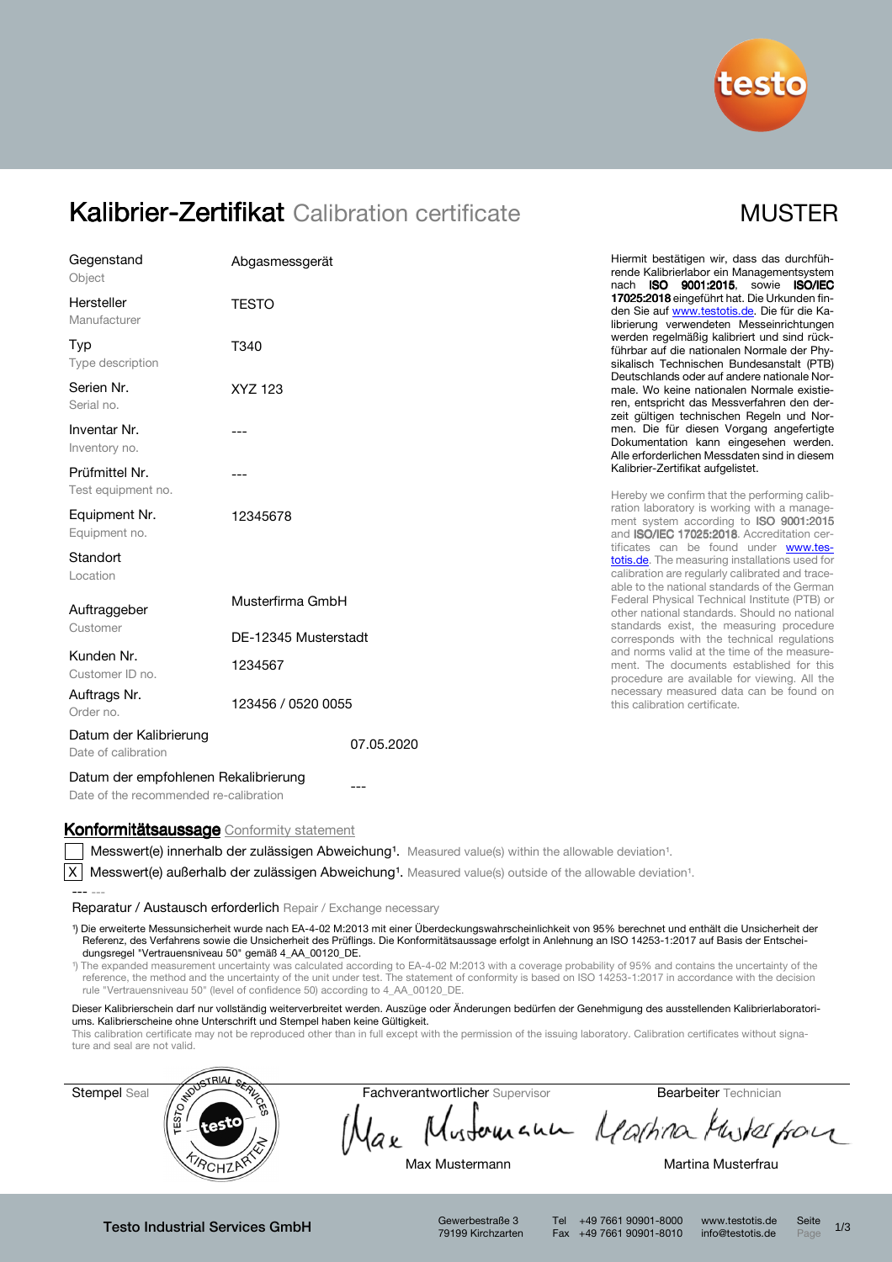

# Kalibrier-Zertifikat Calibration certificate MUSTER

| 17025:2018 eingeführt hat. Die Urkunden fin-<br><b>TESTO</b><br>den Sie auf www.testotis.de. Die für die Ka-<br>librierung verwendeten Messeinrichtungen<br>werden regelmäßig kalibriert und sind rück-<br>T340<br>führbar auf die nationalen Normale der Phy-<br>sikalisch Technischen Bundesanstalt (PTB)<br>Deutschlands oder auf andere nationale Nor-<br>XYZ 123<br>male. Wo keine nationalen Normale existie-<br>ren, entspricht das Messverfahren den der-<br>zeit gültigen technischen Regeln und Nor-<br>men. Die für diesen Vorgang angefertigte<br>Dokumentation kann eingesehen werden.<br>Alle erforderlichen Messdaten sind in diesem<br>Kalibrier-Zertifikat aufgelistet.<br>Hereby we confirm that the performing calib-<br>ration laboratory is working with a manage-<br>12345678<br>ment system according to ISO 9001:2015<br>and <b>ISO/IEC 17025:2018</b> . Accreditation cer-<br>tificates can be found under www.tes-<br>totis.de. The measuring installations used for<br>calibration are regularly calibrated and trace-<br>able to the national standards of the German<br>Federal Physical Technical Institute (PTB) or<br>Musterfirma GmbH<br>other national standards. Should no national<br>standards exist, the measuring procedure<br>Customer<br>DE-12345 Musterstadt<br>corresponds with the technical regulations<br>and norms valid at the time of the measure-<br>1234567<br>ment. The documents established for this<br>procedure are available for viewing. All the<br>necessary measured data can be found on<br>123456 / 0520 0055<br>this calibration certificate.<br>07.05.2020<br>Datum der empfohlenen Rekalibrierung | Gegenstand<br>Object                          | Abgasmessgerät | Hiermit bestätigen wir, dass das durchfüh-<br>rende Kalibrierlabor ein Managementsystem<br>nach ISO 9001:2015, sowie ISO/IEC |
|--------------------------------------------------------------------------------------------------------------------------------------------------------------------------------------------------------------------------------------------------------------------------------------------------------------------------------------------------------------------------------------------------------------------------------------------------------------------------------------------------------------------------------------------------------------------------------------------------------------------------------------------------------------------------------------------------------------------------------------------------------------------------------------------------------------------------------------------------------------------------------------------------------------------------------------------------------------------------------------------------------------------------------------------------------------------------------------------------------------------------------------------------------------------------------------------------------------------------------------------------------------------------------------------------------------------------------------------------------------------------------------------------------------------------------------------------------------------------------------------------------------------------------------------------------------------------------------------------------------------------------------------------------------------|-----------------------------------------------|----------------|------------------------------------------------------------------------------------------------------------------------------|
|                                                                                                                                                                                                                                                                                                                                                                                                                                                                                                                                                                                                                                                                                                                                                                                                                                                                                                                                                                                                                                                                                                                                                                                                                                                                                                                                                                                                                                                                                                                                                                                                                                                                    | Hersteller<br>Manufacturer                    |                |                                                                                                                              |
|                                                                                                                                                                                                                                                                                                                                                                                                                                                                                                                                                                                                                                                                                                                                                                                                                                                                                                                                                                                                                                                                                                                                                                                                                                                                                                                                                                                                                                                                                                                                                                                                                                                                    | Typ<br>Type description                       |                |                                                                                                                              |
|                                                                                                                                                                                                                                                                                                                                                                                                                                                                                                                                                                                                                                                                                                                                                                                                                                                                                                                                                                                                                                                                                                                                                                                                                                                                                                                                                                                                                                                                                                                                                                                                                                                                    | Serien Nr.<br>Serial no.                      |                |                                                                                                                              |
|                                                                                                                                                                                                                                                                                                                                                                                                                                                                                                                                                                                                                                                                                                                                                                                                                                                                                                                                                                                                                                                                                                                                                                                                                                                                                                                                                                                                                                                                                                                                                                                                                                                                    | Inventar Nr.<br>Inventory no.                 |                |                                                                                                                              |
|                                                                                                                                                                                                                                                                                                                                                                                                                                                                                                                                                                                                                                                                                                                                                                                                                                                                                                                                                                                                                                                                                                                                                                                                                                                                                                                                                                                                                                                                                                                                                                                                                                                                    | Prüfmittel Nr.<br>Test equipment no.          |                |                                                                                                                              |
|                                                                                                                                                                                                                                                                                                                                                                                                                                                                                                                                                                                                                                                                                                                                                                                                                                                                                                                                                                                                                                                                                                                                                                                                                                                                                                                                                                                                                                                                                                                                                                                                                                                                    | Equipment Nr.<br>Equipment no.                |                |                                                                                                                              |
|                                                                                                                                                                                                                                                                                                                                                                                                                                                                                                                                                                                                                                                                                                                                                                                                                                                                                                                                                                                                                                                                                                                                                                                                                                                                                                                                                                                                                                                                                                                                                                                                                                                                    | Standort<br>Location                          |                |                                                                                                                              |
|                                                                                                                                                                                                                                                                                                                                                                                                                                                                                                                                                                                                                                                                                                                                                                                                                                                                                                                                                                                                                                                                                                                                                                                                                                                                                                                                                                                                                                                                                                                                                                                                                                                                    | Auftraggeber                                  |                |                                                                                                                              |
|                                                                                                                                                                                                                                                                                                                                                                                                                                                                                                                                                                                                                                                                                                                                                                                                                                                                                                                                                                                                                                                                                                                                                                                                                                                                                                                                                                                                                                                                                                                                                                                                                                                                    |                                               |                |                                                                                                                              |
|                                                                                                                                                                                                                                                                                                                                                                                                                                                                                                                                                                                                                                                                                                                                                                                                                                                                                                                                                                                                                                                                                                                                                                                                                                                                                                                                                                                                                                                                                                                                                                                                                                                                    | Kunden Nr.<br>Customer ID no.                 |                |                                                                                                                              |
|                                                                                                                                                                                                                                                                                                                                                                                                                                                                                                                                                                                                                                                                                                                                                                                                                                                                                                                                                                                                                                                                                                                                                                                                                                                                                                                                                                                                                                                                                                                                                                                                                                                                    | Auftrags Nr.<br>Order no.                     |                |                                                                                                                              |
|                                                                                                                                                                                                                                                                                                                                                                                                                                                                                                                                                                                                                                                                                                                                                                                                                                                                                                                                                                                                                                                                                                                                                                                                                                                                                                                                                                                                                                                                                                                                                                                                                                                                    | Datum der Kalibrierung<br>Date of calibration |                |                                                                                                                              |
| ---                                                                                                                                                                                                                                                                                                                                                                                                                                                                                                                                                                                                                                                                                                                                                                                                                                                                                                                                                                                                                                                                                                                                                                                                                                                                                                                                                                                                                                                                                                                                                                                                                                                                |                                               |                |                                                                                                                              |

Date of the recommended re-calibration

--- ---

### Konformitätsaussage Conformity statement

Messwert(e) innerhalb der zulässigen Abweichung<sup>1</sup>. Measured value(s) within the allowable deviation<sup>1</sup>.

 $\overline{X}$  Messwert(e) außerhalb der zulässigen Abweichung<sup>1</sup>. Measured value(s) outside of the allowable deviation<sup>1</sup>.

Reparatur / Austausch erforderlich Repair / Exchange necessary

¹) Die erweiterte Messunsicherheit wurde nach EA-4-02 M:2013 mit einer Überdeckungswahrscheinlichkeit von 95% berechnet und enthält die Unsicherheit der Referenz, des Verfahrens sowie die Unsicherheit des Prüflings. Die Konformitätsaussage erfolgt in Anlehnung an ISO 14253-1:2017 auf Basis der Entscheidungsregel "Vertrauensniveau 50" gemäß 4\_AA\_00120\_DE.

<sup>1</sup>) The expanded measurement uncertainty was calculated according to EA-4-02 M:2013 with a coverage probability of 95% and contains the uncertainty of the reference, the method and the uncertainty of the unit under test. The statement of conformity is based on ISO 14253-1:2017 in accordance with the decision rule "Vertrauensniveau 50" (level of confidence 50) according to 4\_AA\_00120\_DE.

Dieser Kalibrierschein darf nur vollständig weiterverbreitet werden. Auszüge oder Änderungen bedürfen der Genehmigung des ausstellenden Kalibrierlaboratoriums. Kalibrierscheine ohne Unterschrift und Stempel haben keine Gültigkeit.

This calibration certificate may not be reproduced other than in full except with the permission of the issuing laboratory. Calibration certificates without signature and seal are not valid.



Testo Industrial Services GmbH Gewerbestraße 3

79199 Kirchzarten

Tel +49 7661 90901-8000 www.testotis.de Seite 1/3 Fax +49 7661 90901-8010 info@testotis.de Page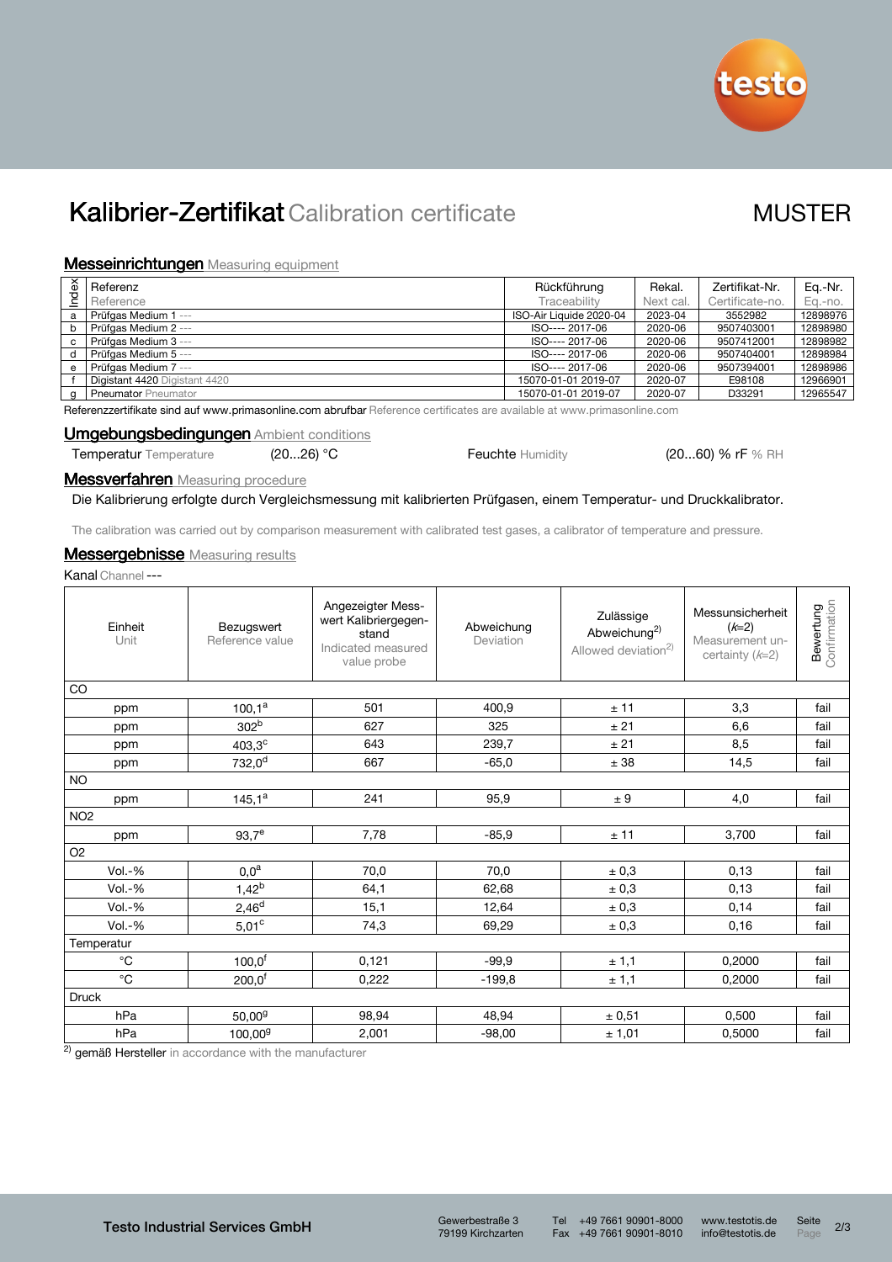

# Kalibrier-Zertifikat Calibration certificate MUSTER

## **Messeinrichtungen** Measuring equipment

| Index    | Referenz                      | Rückführung             | Rekal.    | Zertifikat-Nr.  | Ea.-Nr.  |
|----------|-------------------------------|-------------------------|-----------|-----------------|----------|
|          | Reference                     | Traceability            | Next cal. | Certificate-no. | Eg.-no.  |
| a        | Prüfaas Medium 1 ---          | ISO-Air Liquide 2020-04 | 2023-04   | 3552982         | 12898976 |
| b        | Prüfgas Medium 2 ---          | ISO---- 2017-06         | 2020-06   | 9507403001      | 12898980 |
| C        | Prüfgas Medium 3 ---          | ISO---- 2017-06         | 2020-06   | 9507412001      | 12898982 |
| d        | Prüfaas Medium 5 ---          | ISO---- 2017-06         | 2020-06   | 9507404001      | 12898984 |
| e        | Prüfaas Medium 7 ---          | ISO---- 2017-06         | 2020-06   | 9507394001      | 12898986 |
|          | Digistant 4420 Digistant 4420 | 15070-01-01 2019-07     | 2020-07   | E98108          | 12966901 |
| $\alpha$ | <b>Pneumator Pneumator</b>    | 15070-01-01 2019-07     | 2020-07   | D33291          | 12965547 |

Referenzzertifikate sind auf www.primasonline.com abrufbar Reference certificates are available at www.primasonline.com

## Umgebungsbedingungen Ambient conditions

Temperatur Temperature (20...26) °C Feuchte Humidity (20...60) % rF % RH

**Messverfahren** Measuring procedure

Die Kalibrierung erfolgte durch Vergleichsmessung mit kalibrierten Prüfgasen, einem Temperatur- und Druckkalibrator.

The calibration was carried out by comparison measurement with calibrated test gases, a calibrator of temperature and pressure.

## **Messergebnisse** Measuring results

Kanal Channel---

| Einheit<br>Unit   | Bezugswert<br>Reference value                        | Angezeigter Mess-<br>wert Kalibriergegen-<br>stand<br>Indicated measured<br>value probe | Abweichung<br>Deviation | Zulässige<br>Abweichung <sup>2)</sup><br>Allowed deviation <sup>2)</sup> | Messunsicherheit<br>$(k=2)$<br>Measurement un-<br>certainty $(k=2)$ | <b>Bewertung</b><br>Confirmation |  |  |  |  |  |  |
|-------------------|------------------------------------------------------|-----------------------------------------------------------------------------------------|-------------------------|--------------------------------------------------------------------------|---------------------------------------------------------------------|----------------------------------|--|--|--|--|--|--|
| CO                |                                                      |                                                                                         |                         |                                                                          |                                                                     |                                  |  |  |  |  |  |  |
| ppm               | $100,1^a$                                            | 501                                                                                     | 400,9                   | ± 11                                                                     | 3,3                                                                 | fail                             |  |  |  |  |  |  |
| ppm               | 302 <sup>b</sup>                                     | 627                                                                                     | 325                     | ± 21                                                                     | 6,6                                                                 | fail                             |  |  |  |  |  |  |
| ppm               | $403,3^{\circ}$                                      | 643                                                                                     | 239,7                   | ± 21                                                                     | 8,5                                                                 | fail                             |  |  |  |  |  |  |
| ppm               | $732,0^d$                                            | 667                                                                                     | $-65,0$                 | ± 38                                                                     | 14,5                                                                | fail                             |  |  |  |  |  |  |
| <b>NO</b>         |                                                      |                                                                                         |                         |                                                                          |                                                                     |                                  |  |  |  |  |  |  |
| ppm               | $145,1^a$                                            | 241                                                                                     | 95,9                    | ± 9                                                                      | 4,0                                                                 | fail                             |  |  |  |  |  |  |
| NO <sub>2</sub>   |                                                      |                                                                                         |                         |                                                                          |                                                                     |                                  |  |  |  |  |  |  |
| ppm               | $93,7^e$                                             | 7,78                                                                                    | $-85,9$                 | ± 11                                                                     | 3,700                                                               | fail                             |  |  |  |  |  |  |
| O <sub>2</sub>    |                                                      |                                                                                         |                         |                                                                          |                                                                     |                                  |  |  |  |  |  |  |
| $Vol.-%$          | $0,0^a$                                              | 70,0                                                                                    | 70,0                    | ± 0,3                                                                    | 0,13                                                                | fail                             |  |  |  |  |  |  |
| $Vol.-%$          | $1,42^{b}$                                           | 64,1                                                                                    | 62,68                   | ± 0,3                                                                    | 0,13                                                                | fail                             |  |  |  |  |  |  |
| $Vol.-%$          | $2,46^d$                                             | 15,1                                                                                    | 12,64                   | ± 0,3                                                                    | 0,14                                                                | fail                             |  |  |  |  |  |  |
| $Vol.-%$          | $5,01^{\circ}$                                       | 74,3                                                                                    | 69,29                   | ± 0,3                                                                    | 0, 16                                                               | fail                             |  |  |  |  |  |  |
| Temperatur        |                                                      |                                                                                         |                         |                                                                          |                                                                     |                                  |  |  |  |  |  |  |
| $^\circ \text{C}$ | $100,0^f$                                            | 0,121                                                                                   | $-99,9$                 | ± 1,1                                                                    | 0,2000                                                              | fail                             |  |  |  |  |  |  |
| $^{\circ}$ C      | 200,0 <sup>f</sup>                                   | 0,222                                                                                   | $-199.8$                | ± 1,1                                                                    | 0,2000                                                              | fail                             |  |  |  |  |  |  |
| <b>Druck</b>      |                                                      |                                                                                         |                         |                                                                          |                                                                     |                                  |  |  |  |  |  |  |
| hPa               | 50,00 <sup>9</sup>                                   | 98,94                                                                                   | 48,94                   | ± 0,51                                                                   | 0,500                                                               | fail                             |  |  |  |  |  |  |
| hPa               | 100,00 <sup>g</sup>                                  | 2,001                                                                                   | $-98.00$                | ± 1,01                                                                   | 0,5000                                                              | fail                             |  |  |  |  |  |  |
| 2)                | nemäß Hersteller in accordance with the manufacturer |                                                                                         |                         |                                                                          |                                                                     |                                  |  |  |  |  |  |  |

emäß Hersteller in accordance with the manufacture

79199 Kirchzarten

Tel +49 7661 90901-8000 www.testotis.de Seite 2/3<br>Fax +49 7661 90901-8010 info@testotis.de Page 2/3